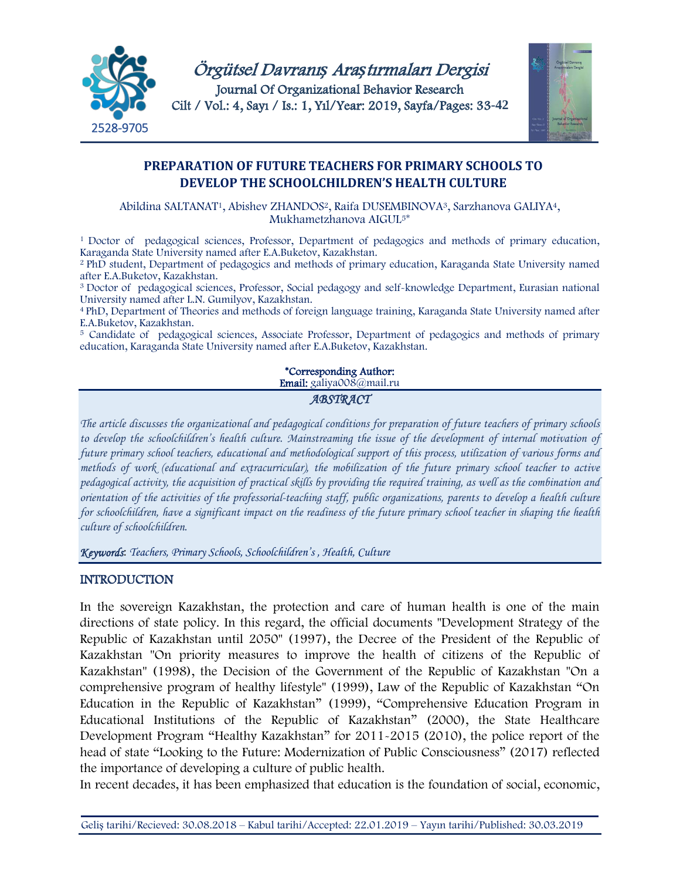



# **PREPARATION OF FUTURE TEACHERS FOR PRIMARY SCHOOLS TO DEVELOP THE SCHOOLCHILDREN'S HEALTH CULTURE**

Abildina SALTANAT1, Abishev ZHANDOS2, Raifa DUSEMBINOVA3, Sarzhanova GALIYA4, Mukhametzhanova AIGUL5\*

<sup>1</sup>Doctor of pedagogical sciences, Professor, Department of pedagogics and methods of primary education, Karaganda State University named after E.A.Buketov, Kazakhstan.

2 PhD student, Department of pedagogics and methods of primary education, Karaganda State University named after E.A.Buketov, Kazakhstan.

<sup>3</sup>Doctor of pedagogical sciences, Professor, Social pedagogy and self-knowledge Department, Eurasian national University named after L.N. Gumilyov, Kazakhstan.

<sup>4</sup>PhD, Department of Theories and methods of foreign language training, Karaganda State University named after E.A.Buketov, Kazakhstan.

<sup>5</sup> Candidate of pedagogical sciences, Associate Professor, Department of pedagogics and methods of primary education, Karaganda State University named after E.A.Buketov, Kazakhstan.

#### \*Corresponding Author: Email: galiya008@mail.ru

*ABSTRACT* 

*The article discusses the organizational and pedagogical conditions for preparation of future teachers of primary schools*  to develop the schoolchildren's health culture. Mainstreaming the issue of the development of internal motivation of *future primary school teachers, educational and methodological support of this process, utilization of various forms and methods of work (educational and extracurricular), the mobilization of the future primary school teacher to active pedagogical activity, the acquisition of practical skills by providing the required training, as well as the combination and orientation of the activities of the professorial-teaching staff, public organizations, parents to develop a health culture for schoolchildren, have a significant impact on the readiness of the future primary school teacher in shaping the health culture of schoolchildren.*

*Keywords*: *Teachers, Primary Schools, Schoolchildren's , Health, Culture*

### **INTRODUCTION**

In the sovereign Kazakhstan, the protection and care of human health is one of the main directions of state policy. In this regard, the official documents "Development Strategy of the Republic of Kazakhstan until 2050" (1997), the Decree of the President of the Republic of Kazakhstan "On priority measures to improve the health of citizens of the Republic of Kazakhstan" (1998), the Decision of the Government of the Republic of Kazakhstan "On a comprehensive program of healthy lifestyle" (1999), Law of the Republic of Kazakhstan "On Education in the Republic of Kazakhstan" (1999), "Comprehensive Education Program in Educational Institutions of the Republic of Kazakhstan" (2000), the State Healthcare Development Program "Healthy Kazakhstan" for 2011-2015 (2010), the police report of the head of state "Looking to the Future: Modernization of Public Consciousness" (2017) reflected the importance of developing a culture of public health.

In recent decades, it has been emphasized that education is the foundation of social, economic,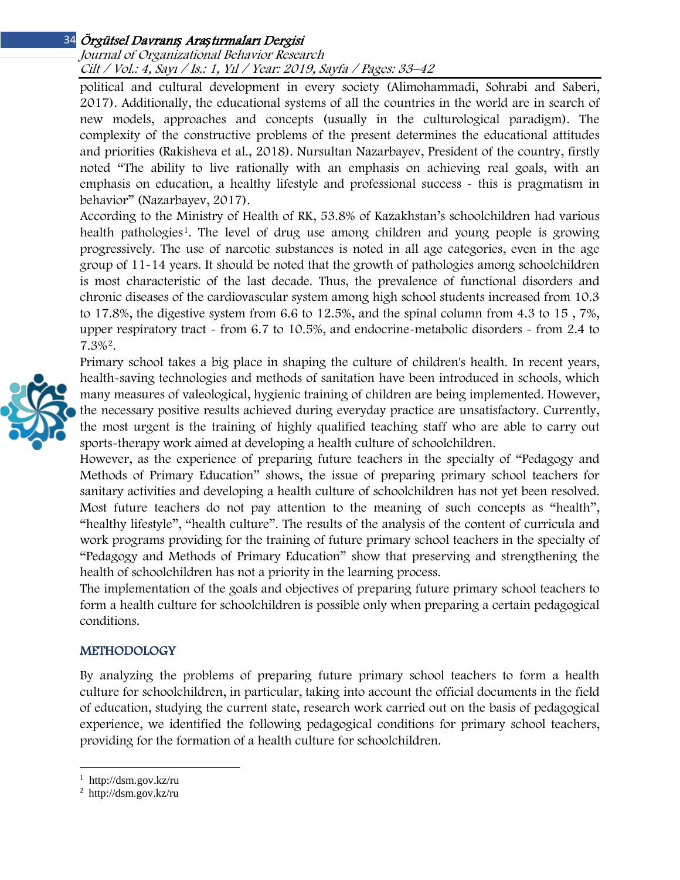#### Journal of Organizational Behavior Research Cilt / Vol.: 4, Sayı / Is.: <sup>1</sup>, Yıl / Year: 2019, Sayfa / Pages: 33–42

political and cultural development in every society (Alimohammadi, Sohrabi and Saberi, 2017). Additionally, the educational systems of all the countries in the world are in search of new models, approaches and concepts (usually in the culturological paradigm). The complexity of the constructive problems of the present determines the educational attitudes and priorities (Rakisheva et al., 2018). Nursultan Nazarbayev, President of the country, firstly noted "The ability to live rationally with an emphasis on achieving real goals, with an emphasis on education, a healthy lifestyle and professional success - this is pragmatism in behavior" (Nazarbayev, 2017).

According to the Ministry of Health of RK, 53.8% of Kazakhstan's schoolchildren had various health pathologies<sup>[1](#page-1-0)</sup>. The level of drug use among children and young people is growing progressively. The use of narcotic substances is noted in all age categories, even in the age group of 11-14 years. It should be noted that the growth of pathologies among schoolchildren is most characteristic of the last decade. Thus, the prevalence of functional disorders and chronic diseases of the cardiovascular system among high school students increased from 10.3 to 17.8%, the digestive system from 6.6 to 12.5%, and the spinal column from 4.3 to 15 , 7%, upper respiratory tract - from 6.7 to 10.5%, and endocrine-metabolic disorders - from 2.4 to 7.3%[2.](#page-1-1)

Primary school takes a big place in shaping the culture of children's health. In recent years, health-saving technologies and methods of sanitation have been introduced in schools, which many measures of valeological, hygienic training of children are being implemented. However, the necessary positive results achieved during everyday practice are unsatisfactory. Currently, the most urgent is the training of highly qualified teaching staff who are able to carry out sports-therapy work aimed at developing a health culture of schoolchildren.

However, as the experience of preparing future teachers in the specialty of "Pedagogy and Methods of Primary Education" shows, the issue of preparing primary school teachers for sanitary activities and developing a health culture of schoolchildren has not yet been resolved. Most future teachers do not pay attention to the meaning of such concepts as "health", "healthy lifestyle", "health culture". The results of the analysis of the content of curricula and work programs providing for the training of future primary school teachers in the specialty of "Pedagogy and Methods of Primary Education" show that preserving and strengthening the health of schoolchildren has not a priority in the learning process.

The implementation of the goals and objectives of preparing future primary school teachers to form a health culture for schoolchildren is possible only when preparing a certain pedagogical conditions.

## METHODOLOGY

By analyzing the problems of preparing future primary school teachers to form a health culture for schoolchildren, in particular, taking into account the official documents in the field of education, studying the current state, research work carried out on the basis of pedagogical experience, we identified the following pedagogical conditions for primary school teachers, providing for the formation of a health culture for schoolchildren.

 $\overline{\phantom{a}}$ 



<span id="page-1-0"></span><sup>1</sup> http://dsm.gov.kz/ru

<span id="page-1-1"></span><sup>2</sup> http://dsm.gov.kz/ru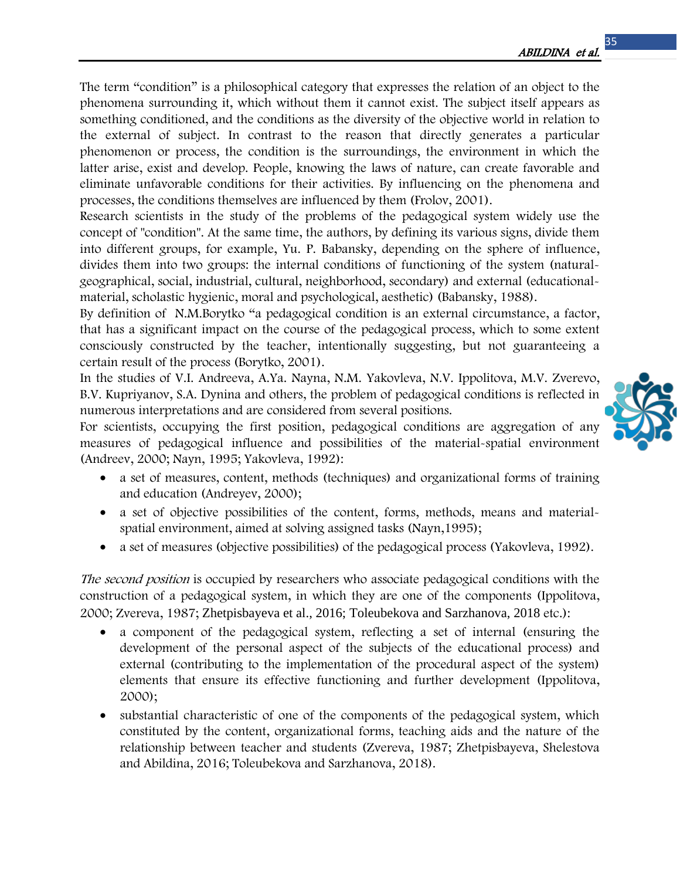The term "condition" is a philosophical category that expresses the relation of an object to the phenomena surrounding it, which without them it cannot exist. The subject itself appears as something conditioned, and the conditions as the diversity of the objective world in relation to the external of subject. In contrast to the reason that directly generates a particular phenomenon or process, the condition is the surroundings, the environment in which the latter arise, exist and develop. People, knowing the laws of nature, can create favorable and eliminate unfavorable conditions for their activities. By influencing on the phenomena and processes, the conditions themselves are influenced by them (Frolov, 2001).

Research scientists in the study of the problems of the pedagogical system widely use the concept of "condition". At the same time, the authors, by defining its various signs, divide them into different groups, for example, Yu. P. Babansky, depending on the sphere of influence, divides them into two groups: the internal conditions of functioning of the system (naturalgeographical, social, industrial, cultural, neighborhood, secondary) and external (educationalmaterial, scholastic hygienic, moral and psychological, aesthetic) (Babansky, 1988).

By definition of N.M.Borytko "a pedagogical condition is an external circumstance, a factor, that has a significant impact on the course of the pedagogical process, which to some extent consciously constructed by the teacher, intentionally suggesting, but not guaranteeing a certain result of the process (Borytko, 2001).

In the studies of V.I. Andreeva, A.Ya. Nayna, N.M. Yakovleva, N.V. Ippolitova, M.V. Zverevo, B.V. Kupriyanov, S.A. Dynina and others, the problem of pedagogical conditions is reflected in numerous interpretations and are considered from several positions.

For scientists, occupying the first position, pedagogical conditions are aggregation of any measures of pedagogical influence and possibilities of the material-spatial environment (Andreev, 2000; Nayn, 1995; Yakovleva, 1992):

- a set of measures, content, methods (techniques) and organizational forms of training and education (Andreyev, 2000);
- a set of objective possibilities of the content, forms, methods, means and materialspatial environment, aimed at solving assigned tasks (Nayn,1995);
- a set of measures (objective possibilities) of the pedagogical process (Yakovleva, 1992).

The second position is occupied by researchers who associate pedagogical conditions with the construction of a pedagogical system, in which they are one of the components (Ippolitova, 2000; Zvereva, 1987; Zhetpisbayeva et al., 2016; Toleubekova and Sarzhanova, 2018 etc.):

- a component of the pedagogical system, reflecting a set of internal (ensuring the development of the personal aspect of the subjects of the educational process) and external (contributing to the implementation of the procedural aspect of the system) elements that ensure its effective functioning and further development (Ippolitova, 2000);
- substantial characteristic of one of the components of the pedagogical system, which constituted by the content, organizational forms, teaching aids and the nature of the relationship between teacher and students (Zvereva, 1987; Zhetpisbayeva, Shelestova and Abildina, 2016; Toleubekova and Sarzhanova, 2018).

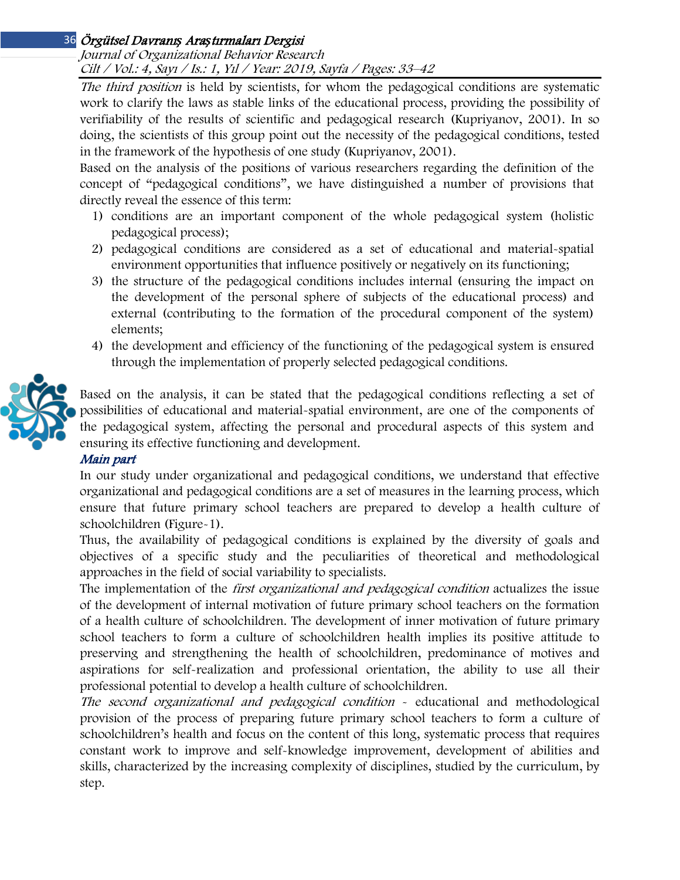Journal of Organizational Behavior Research Cilt / Vol.: 4, Sayı / Is.: <sup>1</sup>, Yıl / Year: 2019, Sayfa / Pages: 33–42

The third position is held by scientists, for whom the pedagogical conditions are systematic work to clarify the laws as stable links of the educational process, providing the possibility of verifiability of the results of scientific and pedagogical research (Kupriyanov, 2001). In so doing, the scientists of this group point out the necessity of the pedagogical conditions, tested in the framework of the hypothesis of one study (Kupriyanov, 2001).

Based on the analysis of the positions of various researchers regarding the definition of the concept of "pedagogical conditions", we have distinguished a number of provisions that directly reveal the essence of this term:

- 1) conditions are an important component of the whole pedagogical system (holistic pedagogical process);
- 2) pedagogical conditions are considered as a set of educational and material-spatial environment opportunities that influence positively or negatively on its functioning;
- 3) the structure of the pedagogical conditions includes internal (ensuring the impact on the development of the personal sphere of subjects of the educational process) and external (contributing to the formation of the procedural component of the system) elements;
- 4) the development and efficiency of the functioning of the pedagogical system is ensured through the implementation of properly selected pedagogical conditions.



Based on the analysis, it can be stated that the pedagogical conditions reflecting a set of possibilities of educational and material-spatial environment, are one of the components of the pedagogical system, affecting the personal and procedural aspects of this system and ensuring its effective functioning and development.

# Main part

In our study under organizational and pedagogical conditions, we understand that effective organizational and pedagogical conditions are a set of measures in the learning process, which ensure that future primary school teachers are prepared to develop a health culture of schoolchildren (Figure-1).

Thus, the availability of pedagogical conditions is explained by the diversity of goals and objectives of a specific study and the peculiarities of theoretical and methodological approaches in the field of social variability to specialists.

The implementation of the *first organizational and pedagogical condition* actualizes the issue of the development of internal motivation of future primary school teachers on the formation of a health culture of schoolchildren. The development of inner motivation of future primary school teachers to form a culture of schoolchildren health implies its positive attitude to preserving and strengthening the health of schoolchildren, predominance of motives and aspirations for self-realization and professional orientation, the ability to use all their professional potential to develop a health culture of schoolchildren.

The second organizational and pedagogical condition - educational and methodological provision of the process of preparing future primary school teachers to form a culture of schoolchildren's health and focus on the content of this long, systematic process that requires constant work to improve and self-knowledge improvement, development of abilities and skills, characterized by the increasing complexity of disciplines, studied by the curriculum, by step.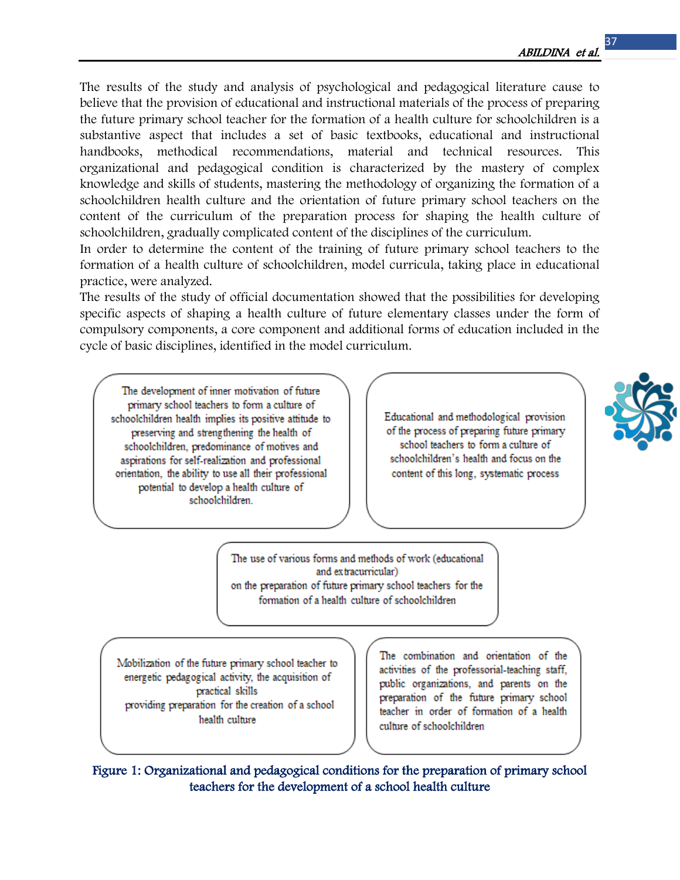The results of the study and analysis of psychological and pedagogical literature cause to believe that the provision of educational and instructional materials of the process of preparing the future primary school teacher for the formation of a health culture for schoolchildren is a substantive aspect that includes a set of basic textbooks, educational and instructional handbooks, methodical recommendations, material and technical resources. This organizational and pedagogical condition is characterized by the mastery of complex knowledge and skills of students, mastering the methodology of organizing the formation of a schoolchildren health culture and the orientation of future primary school teachers on the content of the curriculum of the preparation process for shaping the health culture of schoolchildren, gradually complicated content of the disciplines of the curriculum.

In order to determine the content of the training of future primary school teachers to the formation of a health culture of schoolchildren, model curricula, taking place in educational practice, were analyzed.

The results of the study of official documentation showed that the possibilities for developing specific aspects of shaping a health culture of future elementary classes under the form of compulsory components, a core component and additional forms of education included in the cycle of basic disciplines, identified in the model curriculum.

The development of inner motivation of future primary school teachers to form a culture of schoolchildren health implies its positive attitude to preserving and strengthening the health of schoolchildren, predominance of motives and aspirations for self-realization and professional orientation, the ability to use all their professional potential to develop a health culture of schoolchildren.

Educational and methodological provision of the process of preparing future primary school teachers to form a culture of schoolchildren's health and focus on the content of this long, systematic process



The use of various forms and methods of work (educational and extracurricular) on the preparation of future primary school teachers for the formation of a health culture of schoolchildren

Mobilization of the future primary school teacher to energetic pedagogical activity, the acquisition of practical skills providing preparation for the creation of a school health culture

The combination and orientation of the activities of the professorial-teaching staff, public organizations, and parents on the preparation of the future primary school teacher in order of formation of a health culture of schoolchildren

Figure 1: Organizational and pedagogical conditions for the preparation of primary school teachers for the development of a school health culture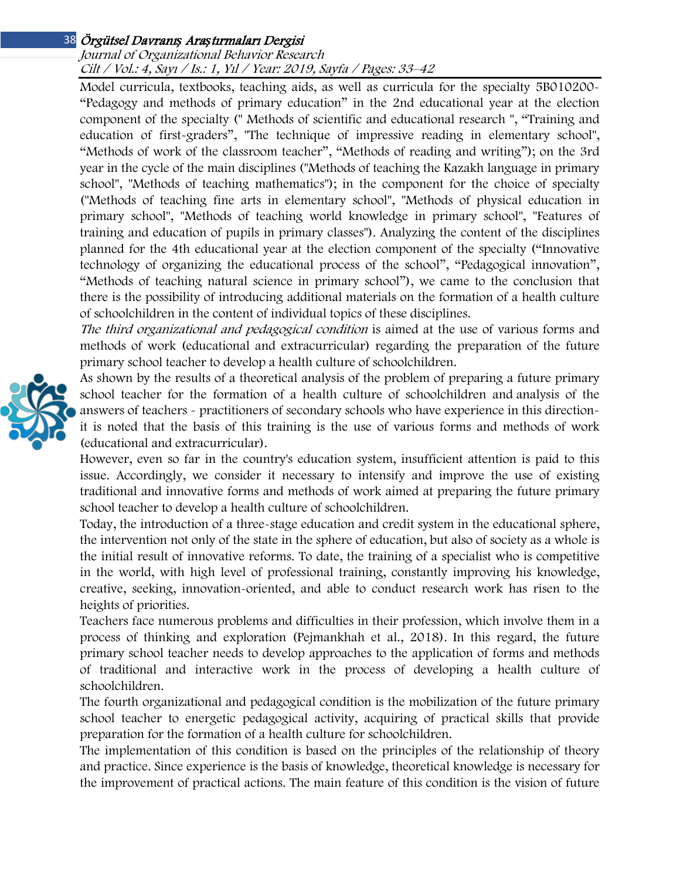#### Journal of Organizational Behavior Research Cilt / Vol.: 4, Sayı / Is.: <sup>1</sup>, Yıl / Year: 2019, Sayfa / Pages: 33–42

Model curricula, textbooks, teaching aids, as well as curricula for the specialty 5B010200- "Pedagogy and methods of primary education" in the 2nd educational year at the election component of the specialty (" Methods of scientific and educational research ", "Training and education of first-graders", "The technique of impressive reading in elementary school", "Methods of work of the classroom teacher", "Methods of reading and writing"); on the 3rd year in the cycle of the main disciplines ("Methods of teaching the Kazakh language in primary school", "Methods of teaching mathematics"); in the component for the choice of specialty ("Methods of teaching fine arts in elementary school", "Methods of physical education in primary school", "Methods of teaching world knowledge in primary school", "Features of training and education of pupils in primary classes"). Analyzing the content of the disciplines planned for the 4th educational year at the election component of the specialty ("Innovative technology of organizing the educational process of the school", "Pedagogical innovation", "Methods of teaching natural science in primary school"), we came to the conclusion that there is the possibility of introducing additional materials on the formation of a health culture of schoolchildren in the content of individual topics of these disciplines.

The third organizational and pedagogical condition is aimed at the use of various forms and methods of work (educational and extracurricular) regarding the preparation of the future primary school teacher to develop a health culture of schoolchildren.

As shown by the results of a theoretical analysis of the problem of preparing a future primary school teacher for the formation of a health culture of schoolchildren and analysis of the answers of teachers - practitioners of secondary schools who have experience in this directionit is noted that the basis of this training is the use of various forms and methods of work (educational and extracurricular).

However, even so far in the country's education system, insufficient attention is paid to this issue. Accordingly, we consider it necessary to intensify and improve the use of existing traditional and innovative forms and methods of work aimed at preparing the future primary school teacher to develop a health culture of schoolchildren.

Today, the introduction of a three-stage education and credit system in the educational sphere, the intervention not only of the state in the sphere of education, but also of society as a whole is the initial result of innovative reforms. To date, the training of a specialist who is competitive in the world, with high level of professional training, constantly improving his knowledge, creative, seeking, innovation-oriented, and able to conduct research work has risen to the heights of priorities.

Teachers face numerous problems and difficulties in their profession, which involve them in a process of thinking and exploration (Pejmankhah et al., 2018). In this regard, the future primary school teacher needs to develop approaches to the application of forms and methods of traditional and interactive work in the process of developing a health culture of schoolchildren.

The fourth organizational and pedagogical condition is the mobilization of the future primary school teacher to energetic pedagogical activity, acquiring of practical skills that provide preparation for the formation of a health culture for schoolchildren.

The implementation of this condition is based on the principles of the relationship of theory and practice. Since experience is the basis of knowledge, theoretical knowledge is necessary for the improvement of practical actions. The main feature of this condition is the vision of future

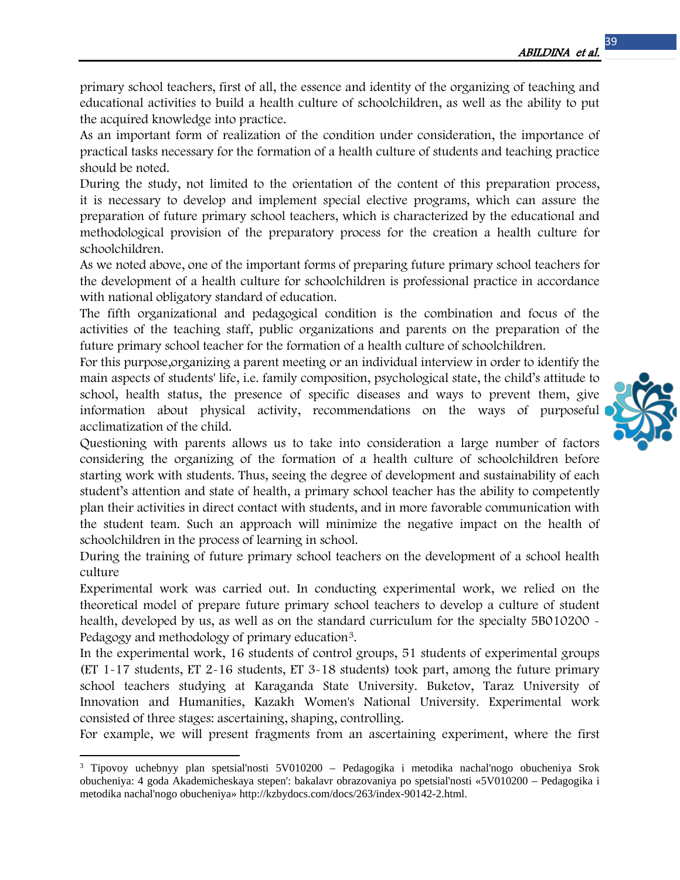primary school teachers, first of all, the essence and identity of the organizing of teaching and educational activities to build a health culture of schoolchildren, as well as the ability to put the acquired knowledge into practice.

As an important form of realization of the condition under consideration, the importance of practical tasks necessary for the formation of a health culture of students and teaching practice should be noted.

During the study, not limited to the orientation of the content of this preparation process, it is necessary to develop and implement special elective programs, which can assure the preparation of future primary school teachers, which is characterized by the educational and methodological provision of the preparatory process for the creation a health culture for schoolchildren.

As we noted above, one of the important forms of preparing future primary school teachers for the development of a health culture for schoolchildren is professional practice in accordance with national obligatory standard of education.

The fifth organizational and pedagogical condition is the combination and focus of the activities of the teaching staff, public organizations and parents on the preparation of the future primary school teacher for the formation of a health culture of schoolchildren.

For this purpose,organizing a parent meeting or an individual interview in order to identify the main aspects of students' life, i.e. family composition, psychological state, the child's attitude to school, health status, the presence of specific diseases and ways to prevent them, give information about physical activity, recommendations on the ways of purposeful acclimatization of the child.

Questioning with parents allows us to take into consideration a large number of factors considering the organizing of the formation of a health culture of schoolchildren before starting work with students. Thus, seeing the degree of development and sustainability of each student's attention and state of health, a primary school teacher has the ability to competently plan their activities in direct contact with students, and in more favorable communication with the student team. Such an approach will minimize the negative impact on the health of schoolchildren in the process of learning in school.

During the training of future primary school teachers on the development of a school health culture

Experimental work was carried out. In conducting experimental work, we relied on the theoretical model of prepare future primary school teachers to develop a culture of student health, developed by us, as well as on the standard curriculum for the specialty 5B010200 -Pedagogy and methodology of primary education<sup>[3](#page-6-0)</sup>.

In the experimental work, 16 students of control groups, 51 students of experimental groups (ET 1-17 students, ET 2-16 students, ET 3-18 students) took part, among the future primary school teachers studying at Karaganda State University. Buketov, Taraz University of Innovation and Humanities, Kazakh Women's National University. Experimental work consisted of three stages: ascertaining, shaping, controlling.

For example, we will present fragments from an ascertaining experiment, where the first

 $\overline{a}$ 



<span id="page-6-0"></span><sup>3</sup> Tipovoy uchebnyy plan spetsial'nosti 5V010200 – Pedagogika i metodika nachal'nogo obucheniya Srok obucheniya: 4 goda Akademicheskaya stepen': bakalavr obrazovaniya po spetsial'nosti «5V010200 – Pedagogika i metodika nachal'nogo obucheniya» http://kzbydocs.com/docs/263/index-90142-2.html.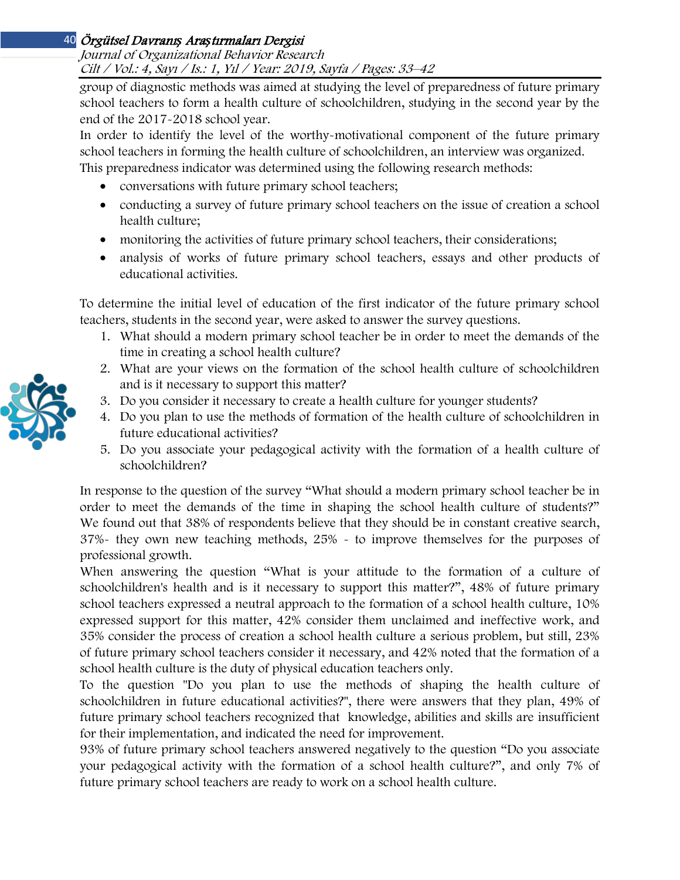## Journal of Organizational Behavior Research Cilt / Vol.: 4, Sayı / Is.: <sup>1</sup>, Yıl / Year: 2019, Sayfa / Pages: 33–42

group of diagnostic methods was aimed at studying the level of preparedness of future primary school teachers to form a health culture of schoolchildren, studying in the second year by the end of the 2017-2018 school year.

In order to identify the level of the worthy-motivational component of the future primary school teachers in forming the health culture of schoolchildren, an interview was organized.

This preparedness indicator was determined using the following research methods:

- conversations with future primary school teachers;
- conducting a survey of future primary school teachers on the issue of creation a school health culture;
- monitoring the activities of future primary school teachers, their considerations;
- analysis of works of future primary school teachers, essays and other products of educational activities.

To determine the initial level of education of the first indicator of the future primary school teachers, students in the second year, were asked to answer the survey questions.

- 1. What should a modern primary school teacher be in order to meet the demands of the time in creating a school health culture?
- 2. What are your views on the formation of the school health culture of schoolchildren and is it necessary to support this matter?
- 3. Do you consider it necessary to create a health culture for younger students?
- 4. Do you plan to use the methods of formation of the health culture of schoolchildren in future educational activities?
- 5. Do you associate your pedagogical activity with the formation of a health culture of schoolchildren?

In response to the question of the survey "What should a modern primary school teacher be in order to meet the demands of the time in shaping the school health culture of students?" We found out that 38% of respondents believe that they should be in constant creative search, 37%- they own new teaching methods, 25% - to improve themselves for the purposes of professional growth.

When answering the question "What is your attitude to the formation of a culture of schoolchildren's health and is it necessary to support this matter?", 48% of future primary school teachers expressed a neutral approach to the formation of a school health culture, 10% expressed support for this matter, 42% consider them unclaimed and ineffective work, and 35% consider the process of creation a school health culture a serious problem, but still, 23% of future primary school teachers consider it necessary, and 42% noted that the formation of a school health culture is the duty of physical education teachers only.

To the question "Do you plan to use the methods of shaping the health culture of schoolchildren in future educational activities?", there were answers that they plan, 49% of future primary school teachers recognized that knowledge, abilities and skills are insufficient for their implementation, and indicated the need for improvement.

93% of future primary school teachers answered negatively to the question "Do you associate your pedagogical activity with the formation of a school health culture?", and only 7% of future primary school teachers are ready to work on a school health culture.

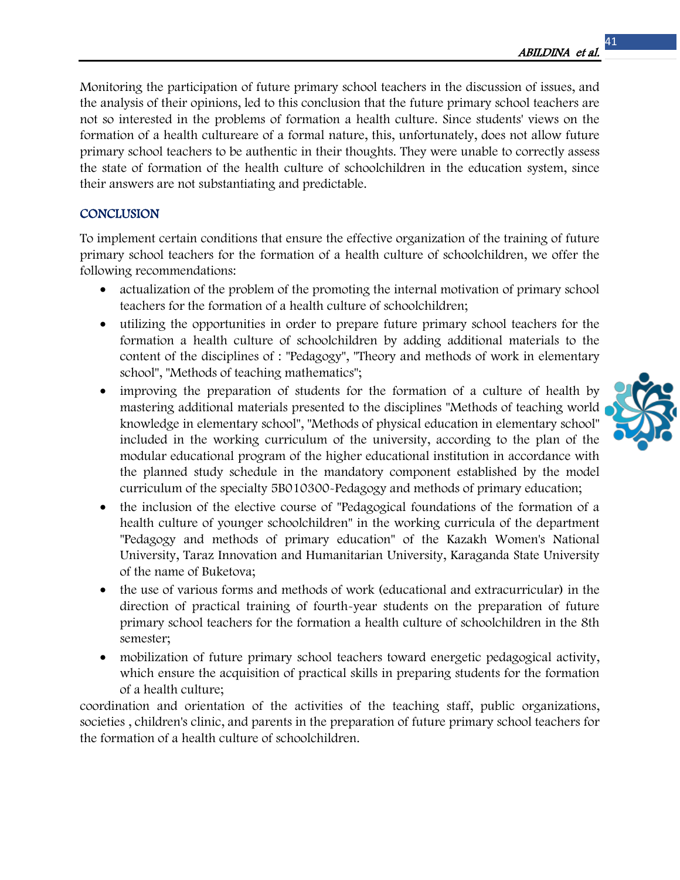Monitoring the participation of future primary school teachers in the discussion of issues, and the analysis of their opinions, led to this conclusion that the future primary school teachers are not so interested in the problems of formation a health culture. Since students' views on the formation of a health cultureare of a formal nature, this, unfortunately, does not allow future primary school teachers to be authentic in their thoughts. They were unable to correctly assess the state of formation of the health culture of schoolchildren in the education system, since their answers are not substantiating and predictable.

## **CONCLUSION**

To implement certain conditions that ensure the effective organization of the training of future primary school teachers for the formation of a health culture of schoolchildren, we offer the following recommendations:

- actualization of the problem of the promoting the internal motivation of primary school teachers for the formation of a health culture of schoolchildren;
- utilizing the opportunities in order to prepare future primary school teachers for the formation a health culture of schoolchildren by adding additional materials to the content of the disciplines of : "Pedagogy", "Theory and methods of work in elementary school", "Methods of teaching mathematics";
- improving the preparation of students for the formation of a culture of health by mastering additional materials presented to the disciplines "Methods of teaching world knowledge in elementary school", "Methods of physical education in elementary school" included in the working curriculum of the university, according to the plan of the modular educational program of the higher educational institution in accordance with the planned study schedule in the mandatory component established by the model curriculum of the specialty 5B010300-Pedagogy and methods of primary education;
- the inclusion of the elective course of "Pedagogical foundations of the formation of a health culture of younger schoolchildren" in the working curricula of the department "Pedagogy and methods of primary education" of the Kazakh Women's National University, Taraz Innovation and Humanitarian University, Karaganda State University of the name of Buketova;
- the use of various forms and methods of work (educational and extracurricular) in the direction of practical training of fourth-year students on the preparation of future primary school teachers for the formation a health culture of schoolchildren in the 8th semester;
- mobilization of future primary school teachers toward energetic pedagogical activity, which ensure the acquisition of practical skills in preparing students for the formation of a health culture;

coordination and orientation of the activities of the teaching staff, public organizations, societies , children's clinic, and parents in the preparation of future primary school teachers for the formation of a health culture of schoolchildren.